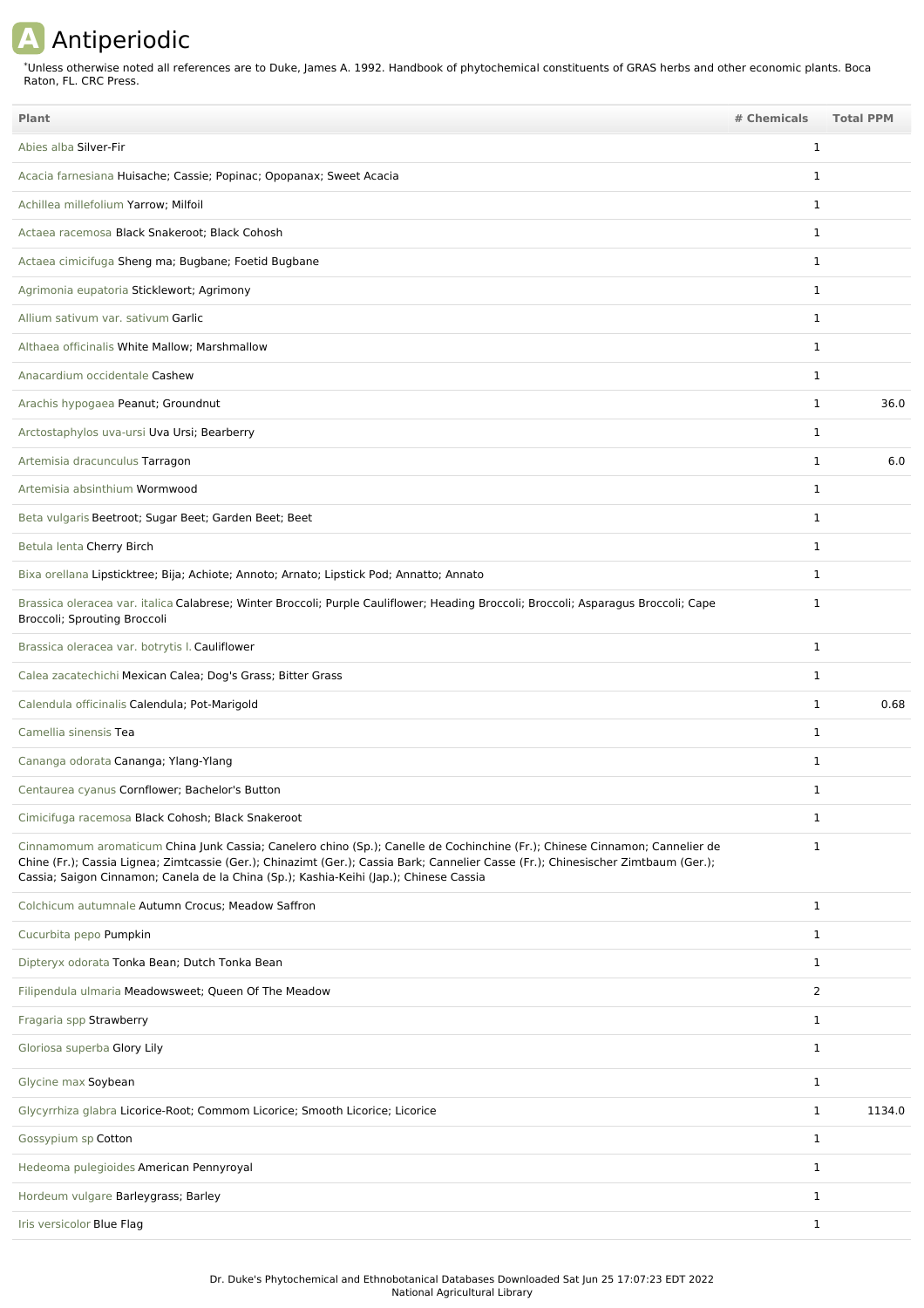## **A** Antiperiodic

Unless otherwise noted all references are to Duke, James A. 1992. Handbook of phytochemical constituents of GRAS herbs and other economic plants. Boca Raton, FL. CRC Press. \*

| Plant                                                                                                                                                                                                                                                                                                                                                       | # Chemicals    | <b>Total PPM</b> |
|-------------------------------------------------------------------------------------------------------------------------------------------------------------------------------------------------------------------------------------------------------------------------------------------------------------------------------------------------------------|----------------|------------------|
| Abies alba Silver-Fir                                                                                                                                                                                                                                                                                                                                       | 1              |                  |
| Acacia farnesiana Huisache; Cassie; Popinac; Opopanax; Sweet Acacia                                                                                                                                                                                                                                                                                         | $\mathbf{1}$   |                  |
| Achillea millefolium Yarrow; Milfoil                                                                                                                                                                                                                                                                                                                        | 1              |                  |
| Actaea racemosa Black Snakeroot; Black Cohosh                                                                                                                                                                                                                                                                                                               | 1              |                  |
| Actaea cimicifuga Sheng ma; Bugbane; Foetid Bugbane                                                                                                                                                                                                                                                                                                         | 1              |                  |
| Agrimonia eupatoria Sticklewort; Agrimony                                                                                                                                                                                                                                                                                                                   | 1              |                  |
| Allium sativum var. sativum Garlic                                                                                                                                                                                                                                                                                                                          | 1              |                  |
| Althaea officinalis White Mallow; Marshmallow                                                                                                                                                                                                                                                                                                               | 1              |                  |
| Anacardium occidentale Cashew                                                                                                                                                                                                                                                                                                                               | 1              |                  |
| Arachis hypogaea Peanut; Groundnut                                                                                                                                                                                                                                                                                                                          | $\mathbf{1}$   | 36.0             |
| Arctostaphylos uva-ursi Uva Ursi; Bearberry                                                                                                                                                                                                                                                                                                                 | 1              |                  |
| Artemisia dracunculus Tarragon                                                                                                                                                                                                                                                                                                                              | 1              | 6.0              |
| Artemisia absinthium Wormwood                                                                                                                                                                                                                                                                                                                               | 1              |                  |
| Beta vulgaris Beetroot; Sugar Beet; Garden Beet; Beet                                                                                                                                                                                                                                                                                                       | 1              |                  |
| Betula lenta Cherry Birch                                                                                                                                                                                                                                                                                                                                   | 1              |                  |
| Bixa orellana Lipsticktree; Bija; Achiote; Annoto; Arnato; Lipstick Pod; Annatto; Annato                                                                                                                                                                                                                                                                    | 1              |                  |
| Brassica oleracea var. italica Calabrese; Winter Broccoli; Purple Cauliflower; Heading Broccoli; Broccoli; Asparagus Broccoli; Cape<br>Broccoli; Sprouting Broccoli                                                                                                                                                                                         | 1              |                  |
| Brassica oleracea var. botrytis I. Cauliflower                                                                                                                                                                                                                                                                                                              | $\mathbf{1}$   |                  |
| Calea zacatechichi Mexican Calea; Dog's Grass; Bitter Grass                                                                                                                                                                                                                                                                                                 | 1              |                  |
| Calendula officinalis Calendula; Pot-Marigold                                                                                                                                                                                                                                                                                                               | 1              | 0.68             |
| Camellia sinensis Tea                                                                                                                                                                                                                                                                                                                                       | 1              |                  |
| Cananga odorata Cananga; Ylang-Ylang                                                                                                                                                                                                                                                                                                                        | 1              |                  |
| Centaurea cyanus Cornflower; Bachelor's Button                                                                                                                                                                                                                                                                                                              | 1              |                  |
| Cimicifuga racemosa Black Cohosh; Black Snakeroot                                                                                                                                                                                                                                                                                                           | $\mathbf 1$    |                  |
| Cinnamomum aromaticum China Junk Cassia; Canelero chino (Sp.); Canelle de Cochinchine (Fr.); Chinese Cinnamon; Cannelier de<br>Chine (Fr.); Cassia Lignea; Zimtcassie (Ger.); Chinazimt (Ger.); Cassia Bark; Cannelier Casse (Fr.); Chinesischer Zimtbaum (Ger.);<br>Cassia; Saigon Cinnamon; Canela de la China (Sp.); Kashia-Keihi (Jap.); Chinese Cassia | 1              |                  |
| Colchicum autumnale Autumn Crocus; Meadow Saffron                                                                                                                                                                                                                                                                                                           | $\mathbf{1}$   |                  |
| Cucurbita pepo Pumpkin                                                                                                                                                                                                                                                                                                                                      | $\mathbf{1}$   |                  |
| Dipteryx odorata Tonka Bean; Dutch Tonka Bean                                                                                                                                                                                                                                                                                                               | $\mathbf{1}$   |                  |
| Filipendula ulmaria Meadowsweet; Queen Of The Meadow                                                                                                                                                                                                                                                                                                        | $\overline{2}$ |                  |
| Fragaria spp Strawberry                                                                                                                                                                                                                                                                                                                                     | 1              |                  |
| Gloriosa superba Glory Lily                                                                                                                                                                                                                                                                                                                                 | $\mathbf{1}$   |                  |
| Glycine max Soybean                                                                                                                                                                                                                                                                                                                                         | 1              |                  |
| Glycyrrhiza glabra Licorice-Root; Commom Licorice; Smooth Licorice; Licorice                                                                                                                                                                                                                                                                                | 1              | 1134.0           |
| Gossypium sp Cotton                                                                                                                                                                                                                                                                                                                                         | $\mathbf{1}$   |                  |
| Hedeoma pulegioides American Pennyroyal                                                                                                                                                                                                                                                                                                                     | $\mathbf{1}$   |                  |
| Hordeum vulgare Barleygrass; Barley                                                                                                                                                                                                                                                                                                                         | $\mathbf{1}$   |                  |
| Iris versicolor Blue Flag                                                                                                                                                                                                                                                                                                                                   | $\mathbf{1}$   |                  |